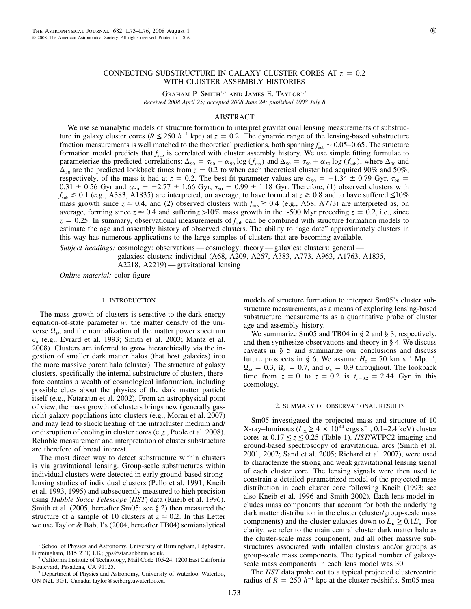# CONNECTING SUBSTRUCTURE IN GALAXY CLUSTER CORES AT  $z = 0.2$ WITH CLUSTER ASSEMBLY HISTORIES

GRAHAM P. SMITH<sup>1,2</sup> AND JAMES E. TAYLOR<sup>2,3</sup> *Received 2008 April 25; accepted 2008 June 24; published 2008 July 8*

### ABSTRACT

We use semianalytic models of structure formation to interpret gravitational lensing measurements of substructure in galaxy cluster cores ( $R \le 250 h^{-1}$  kpc) at  $z = 0.2$ . The dynamic range of the lensing-based substructure fraction measurements is well matched to the theoretical predictions, both spanning  $f_{\text{sub}}$  ∼ 0.05–0.65. The structure formation model predicts that  $f_{sub}$  is correlated with cluster assembly history. We use simple fitting formulae to parameterize the predicted correlations:  $\Delta_{90} = \tau_{90} + \alpha_{90} \log (f_{sub})$  and  $\Delta_{50} = \tau_{50} + \alpha_{50} \log (f_{sub})$ , where  $\Delta_{90}$  and  $\Delta_{50}$  are the predicted lookback times from  $z = 0.2$  to when each theoretical cluster had acquired 90% and 50%, respectively, of the mass it had at  $z = 0.2$ . The best-fit parameter values are  $\alpha_{90} = -1.34 \pm 0.79$  Gyr,  $\tau_{90} =$  $0.31 \pm 0.56$  Gyr and  $\alpha_{50} = -2.77 \pm 1.66$  Gyr,  $\tau_{50} = 0.99 \pm 1.18$  Gyr. Therefore, (1) observed clusters with  $f_{\text{sub}} \le 0.1$  (e.g., A383, A1835) are interpreted, on average, to have formed at  $z \ge 0.8$  and to have suffered  $\le 10\%$ mass growth since  $z \approx 0.4$ , and (2) observed clusters with  $f_{\text{sub}} \approx 0.4$  (e.g., A68, A773) are interpreted as, on average, forming since  $z \approx 0.4$  and suffering >10% mass growth in the ∼500 Myr preceding  $z = 0.2$ , i.e., since  $z = 0.25$ . In summary, observational measurements of  $f<sub>sub</sub>$  can be combined with structure formation models to estimate the age and assembly history of observed clusters. The ability to "age date" approximately clusters in this way has numerous applications to the large samples of clusters that are becoming available.

*Subject headings:* cosmology: observations — cosmology: theory — galaxies: clusters: general —

galaxies: clusters: individual (A68, A209, A267, A383, A773, A963, A1763, A1835,

A2218, A2219) — gravitational lensing

*Online material:* color figure

### 1. INTRODUCTION

The mass growth of clusters is sensitive to the dark energy equation-of-state parameter *w*, the matter density of the universe  $\Omega_M$ , and the normalization of the matter power spectrum  $\sigma_8$  (e.g., Evrard et al. 1993; Smith et al. 2003; Mantz et al. 2008). Clusters are inferred to grow hierarchically via the ingestion of smaller dark matter halos (that host galaxies) into the more massive parent halo (cluster). The structure of galaxy clusters, specifically the internal substructure of clusters, therefore contains a wealth of cosmological information, including possible clues about the physics of the dark matter particle itself (e.g., Natarajan et al. 2002). From an astrophysical point of view, the mass growth of clusters brings new (generally gasrich) galaxy populations into clusters (e.g., Moran et al. 2007) and may lead to shock heating of the intracluster medium and/ or disruption of cooling in cluster cores (e.g., Poole et al. 2008). Reliable measurement and interpretation of cluster substructure are therefore of broad interest.

The most direct way to detect substructure within clusters is via gravitational lensing. Group-scale substructures within individual clusters were detected in early ground-based stronglensing studies of individual clusters (Pello et al. 1991; Kneib et al. 1993, 1995) and subsequently measured to high precision using *Hubble Space Telescope* (*HST*) data (Kneib et al. 1996). Smith et al. (2005, hereafter Sm05; see § 2) then measured the structure of a sample of 10 clusters at  $z \approx 0.2$ . In this Letter we use Taylor & Babul's (2004, hereafter TB04) semianalytical

models of structure formation to interpret Sm05's cluster substructure measurements, as a means of exploring lensing-based substructure measurements as a quantitative probe of cluster age and assembly history.

We summarize Sm05 and TB04 in § 2 and § 3, respectively, and then synthesize observations and theory in § 4. We discuss caveats in § 5 and summarize our conclusions and discuss future prospects in § 6. We assume  $H_0 = 70 \text{ km s}^{-1} \text{ Mpc}^{-1}$ ,  $\Omega_M = 0.3$ ,  $\Omega_\Lambda = 0.7$ , and  $\sigma_8 = 0.9$  throughout. The lookback time from  $z = 0$  to  $z = 0.2$  is  $t_{z=0.2} = 2.44$  Gyr in this cosmology.

## 2. SUMMARY OF OBSERVATIONAL RESULTS

Sm05 investigated the projected mass and structure of 10  $X$ -ray–luminous ( $L_x \ge 4 \times 10^{44}$  ergs s<sup>-1</sup>, 0.1–2.4 keV) cluster cores at  $0.17 \le z \le 0.25$  (Table 1). *HST*/WFPC2 imaging and ground-based spectroscopy of gravitational arcs (Smith et al. 2001, 2002; Sand et al. 2005; Richard et al. 2007), were used to characterize the strong and weak gravitational lensing signal of each cluster core. The lensing signals were then used to constrain a detailed parametrized model of the projected mass distribution in each cluster core following Kneib (1993; see also Kneib et al. 1996 and Smith 2002). Each lens model includes mass components that account for both the underlying dark matter distribution in the cluster (cluster/group-scale mass components) and the cluster galaxies down to  $L_{\rm K} \geq 0.1L_{\rm K}^*$ . For clarity, we refer to the main central cluster dark matter halo as the cluster-scale mass component, and all other massive substructures associated with infallen clusters and/or groups as group-scale mass components. The typical number of galaxyscale mass components in each lens model was 30.

The *HST* data probe out to a typical projected clustercentric radius of  $R = 250 h^{-1}$  kpc at the cluster redshifts. Sm05 mea-

<sup>&</sup>lt;sup>1</sup> School of Physics and Astronomy, University of Birmingham, Edgbaston, Birmingham, B15 2TT, UK; gps@star.sr.bham.ac.uk.

<sup>2</sup> California Institute of Technology, Mail Code 105-24, 1200 East California Boulevard, Pasadena, CA 91125.

<sup>&</sup>lt;sup>3</sup> Department of Physics and Astronomy, University of Waterloo, Waterloo, ON N2L 3G1, Canada; taylor@sciborg.uwaterloo.ca.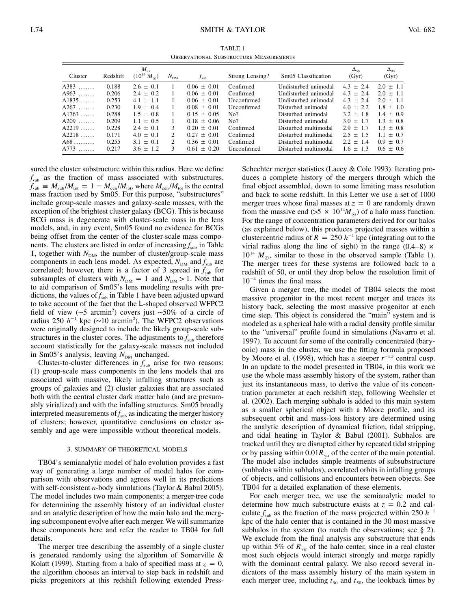TABLE 1 Observational Substructure Measurements

| Cluster | Redshift | $M_{\rm tot}$<br>$(10^{14} M_{\odot})$ | $N_{DM}$                    | $f_{\rm sub}$   | Strong Lensing? | Sm05 Classification  | $\Delta_{50}$<br>(Gyr) | $\Delta_{90}$<br>(Gyr) |
|---------|----------|----------------------------------------|-----------------------------|-----------------|-----------------|----------------------|------------------------|------------------------|
| A383    | 0.188    | $2.6 \pm 0.1$                          |                             | $0.06 \pm 0.01$ | Confirmed       | Undisturbed unimodal | $4.3 + 2.4$            | $2.0 + 1.1$            |
| $A963$  | 0.206    | $2.4 + 0.2$                            |                             | $0.06 \pm 0.01$ | Confirmed       | Undisturbed unimodal | $4.3 + 2.4$            | $2.0 + 1.1$            |
| $A1835$ | 0.253    | $4.1 + 1.1$                            |                             | $0.06 + 0.01$   | Unconfirmed     | Undisturbed unimodal | $4.3 + 2.4$            | $2.0 + 1.1$            |
| $A267$  | 0.230    | $1.9 + 0.4$                            |                             | $0.08 + 0.01$   | Unconfirmed     | Disturbed unimodal   | $40 + 22$              | $1.8 + 1.0$            |
| $A1763$ | 0.288    | $1.5 + 0.8$                            |                             | $0.15 + 0.05$   | No?             | Disturbed unimodal   | $3.2 + 1.8$            | $1.4 + 0.9$            |
| $A209$  | 0.209    | $1.1 + 0.5$                            |                             | $0.18 + 0.06$   | No?             | Disturbed unimodal   | $3.0 + 1.7$            | $1.3 + 0.8$            |
| $A2219$ | 0.228    | $2.4 \pm 0.1$                          | 3                           | $0.20 + 0.01$   | Confirmed       | Disturbed multimodal | $2.9 + 1.7$            | $1.3 + 0.8$            |
| $A2218$ | 0.171    | $4.0 \pm 0.1$                          | $\mathfrak{D}$              | $0.27 + 0.01$   | Confirmed       | Disturbed multimodal | $2.5 + 1.5$            | $1.1 + 0.7$            |
| $A68$   | 0.255    | $3.1 + 0.1$                            | $\mathcal{D}_{\mathcal{L}}$ | $0.36 + 0.01$   | Confirmed       | Disturbed multimodal | $2.2 + 1.4$            | $0.9 + 0.7$            |
| $A773$  | 0.217    | $3.6 + 1.2$                            | 3                           | $0.61 + 0.20$   | Unconfirmed     | Disturbed multimodal | $1.6 + 1.3$            | $0.6 + 0.6$            |

sured the cluster substructure within this radius. Here we define  $f_{sub}$  as the fraction of mass associated with substructures,  $f_{\text{sub}} \equiv M_{\text{sub}}/M_{\text{tot}} = 1 - M_{\text{cen}}/M_{\text{tot}}$ , where  $M_{\text{cen}}/M_{\text{tot}}$  is the central mass fraction used by Sm05. For this purpose, "substructures" include group-scale masses and galaxy-scale masses, with the exception of the brightest cluster galaxy (BCG). This is because BCG mass is degenerate with cluster-scale mass in the lens models, and, in any event, Sm05 found no evidence for BCGs being offset from the center of the cluster-scale mass components. The clusters are listed in order of increasing  $f_{\text{sub}}$  in Table 1, together with  $N_{DM}$ , the number of cluster/group-scale mass components in each lens model. As expected,  $N_{DM}$  and  $f_{sub}$  are correlated; however, there is a factor of 3 spread in  $f_{sub}$  for subsamples of clusters with  $N_{DM} = 1$  and  $N_{DM} > 1$ . Note that to aid comparison of Sm05's lens modeling results with predictions, the values of  $f_{sub}$  in Table 1 have been adjusted upward to take account of the fact that the L-shaped observed WFPC2 field of view (∼5 arcmin2 ) covers just ∼50% of a circle of radius 250  $h^{-1}$  kpc (~10 arcmin<sup>2</sup>). The WFPC2 observations were originally designed to include the likely group-scale substructures in the cluster cores. The adjustments to  $f_{sub}$  therefore account statistically for the galaxy-scale masses not included in Sm05's analysis, leaving  $N_{DM}$  unchanged.

Cluster-to-cluster differences in  $f_{\text{sub}}$  arise for two reasons: (1) group-scale mass components in the lens models that are associated with massive, likely infalling structures such as groups of galaxies and (2) cluster galaxies that are associated both with the central cluster dark matter halo (and are presumably virialized) and with the infalling structures. Sm05 broadly interpreted measurements of  $f_{sub}$  as indicating the merger history of clusters; however, quantitative conclusions on cluster assembly and age were impossible without theoretical models.

#### 3. SUMMARY OF THEORETICAL MODELS

TB04's semianalytic model of halo evolution provides a fast way of generating a large number of model halos for comparison with observations and agrees well in its predictions with self-consistent *n*-body simulations (Taylor & Babul 2005). The model includes two main components: a merger-tree code for determining the assembly history of an individual cluster and an analytic description of how the main halo and the merging subcomponent evolve after each merger. We will summarize these components here and refer the reader to TB04 for full details.

The merger tree describing the assembly of a single cluster is generated randomly using the algorithm of Somerville & Kolatt (1999). Starting from a halo of specified mass at  $z = 0$ , the algorithm chooses an interval to step back in redshift and picks progenitors at this redshift following extended PressSchechter merger statistics (Lacey & Cole 1993). Iterating produces a complete history of the mergers through which the final object assembled, down to some limiting mass resolution and back to some redshift. In this Letter we use a set of 1000 merger trees whose final masses at  $z = 0$  are randomly drawn from the massive end ( $>5 \times 10^{14} M_{\odot}$ ) of a halo mass function. For the range of concentration parameters derived for our halos (as explained below), this produces projected masses within a clustercentric radius of  $R = 250 h^{-1}$  kpc (integrating out to the virial radius along the line of sight) in the range  $(0.4-8) \times$  $10^{14}$  *M*<sub> $\odot$ </sub>, similar to those in the observed sample (Table 1). The merger trees for these systems are followed back to a redshift of 50, or until they drop below the resolution limit of  $10^{-4}$  times the final mass.

Given a merger tree, the model of TB04 selects the most massive progenitor in the most recent merger and traces its history back, selecting the most massive progenitor at each time step. This object is considered the "main" system and is modeled as a spherical halo with a radial density profile similar to the "universal" profile found in simulations (Navarro et al. 1997). To account for some of the centrally concentrated (baryonic) mass in the cluster, we use the fitting formula proposed by Moore et al. (1998), which has a steeper  $r^{-1.5}$  central cusp. In an update to the model presented in TB04, in this work we use the whole mass assembly history of the system, rather than just its instantaneous mass, to derive the value of its concentration parameter at each redshift step, following Wechsler et al. (2002). Each merging subhalo is added to this main system as a smaller spherical object with a Moore profile, and its subsequent orbit and mass-loss history are determined using the analytic description of dynamical friction, tidal stripping, and tidal heating in Taylor & Babul (2001). Subhalos are tracked until they are disrupted either by repeated tidal stripping or by passing within  $0.01R_{vir}$  of the center of the main potential. The model also includes simple treatments of subsubstructure (subhalos within subhalos), correlated orbits in infalling groups of objects, and collisions and encounters between objects. See TB04 for a detailed explanation of these elements.

For each merger tree, we use the semianalytic model to determine how much substructure exists at  $z = 0.2$  and calculate  $f_{sub}$  as the fraction of the mass projected within 250  $h^{-1}$ kpc of the halo center that is contained in the 30 most massive subhalos in the system (to match the observations; see § 2). We exclude from the final analysis any substructure that ends up within 5% of  $R_{\text{vir}}$  of the halo center, since in a real cluster most such objects would interact strongly and merge rapidly with the dominant central galaxy. We also record several indicators of the mass assembly history of the main system in each merger tree, including  $t_{.90}$  and  $t_{.50}$ , the lookback times by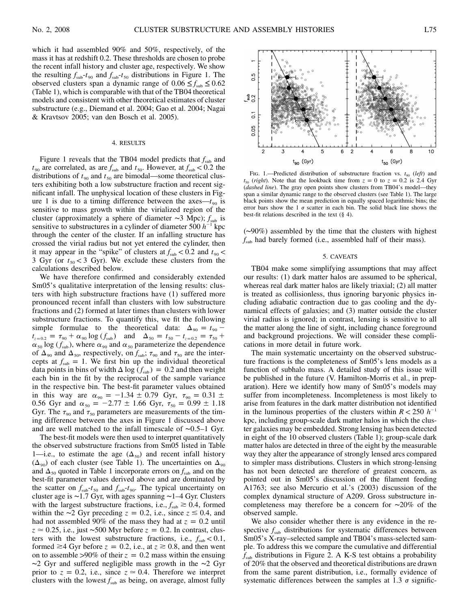which it had assembled 90% and 50%, respectively, of the mass it has at redshift 0.2. These thresholds are chosen to probe the recent infall history and cluster age, respectively. We show the resulting  $f_{sub} - t_{.90}$  and  $f_{sub} - t_{.50}$  distributions in Figure 1. The observed clusters span a dynamic range of  $0.06 \le f_{sub} \le 0.62$ (Table 1), which is comparable with that of the TB04 theoretical models and consistent with other theoretical estimates of cluster substructure (e.g., Diemand et al. 2004; Gao et al. 2004; Nagai & Kravtsov 2005; van den Bosch et al. 2005).

### 4. RESULTS

Figure 1 reveals that the TB04 model predicts that  $f_{sub}$  and  $t_{90}$  are correlated, as are  $f_{\text{sub}}$  and  $t_{50}$ . However, at  $f_{\text{sub}} < 0.2$  the distributions of  $t_{.90}$  and  $t_{.50}$  are bimodal—some theoretical clusters exhibiting both a low substructure fraction and recent significant infall. The unphysical location of these clusters in Figure 1 is due to a timing difference between the axes— $t_{90}$  is sensitive to mass growth within the virialized region of the cluster (approximately a sphere of diameter ∼3 Mpc);  $f_{sub}$  is sensitive to substructures in a cylinder of diameter 500  $h^{-1}$  kpc through the center of the cluster. If an infalling structure has crossed the virial radius but not yet entered the cylinder, then it may appear in the "spike" of clusters at  $f_{\text{sub}} < 0.2$  and  $t_{\text{90}} <$ 3 Gyr (or  $t_{50}$  < 3 Gyr). We exclude these clusters from the calculations described below.

We have therefore confirmed and considerably extended Sm05's qualitative interpretation of the lensing results: clusters with high substructure fractions have (1) suffered more pronounced recent infall than clusters with low substructure fractions and (2) formed at later times than clusters with lower substructure fractions. To quantify this, we fit the following simple formulae to the theoretical data:  $\Delta_{90} = t_{90}$   $t_{z=0.2} = \tau_{90} + \alpha_{90} \log (f_{sub})$  and  $\Delta_{50} = t_{50} - t_{z=0.2} = \tau_{50} +$  $\alpha_{50}$  log ( $f_{sub}$ ), where  $\alpha_{90}$  and  $\alpha_{50}$  parameterize the dependence of  $\Delta_{90}$  and  $\Delta_{50}$ , respectively, on  $f_{\text{sub}}$ ;  $\tau_{90}$  and  $\tau_{50}$  are the intercepts at  $f_{sub} = 1$ . We first bin up the individual theoretical data points in bins of width  $\Delta \log ( f_{\text{sub}} ) = 0.2$  and then weight each bin in the fit by the reciprocal of the sample variance in the respective bin. The best-fit parameter values obtained in this way are  $\alpha_{90} = -1.34 \pm 0.79$  Gyr,  $\tau_{90} = 0.31 \pm 0.09$ 0.56 Gyr and  $\alpha_{50} = -2.77 \pm 1.66$  Gyr,  $\tau_{50} = 0.99 \pm 1.18$ Gyr. The  $\tau_{90}$  and  $\tau_{50}$  parameters are measurements of the timing difference between the axes in Figure 1 discussed above and are well matched to the infall timescale of ∼0.5–1 Gyr.

The best-fit models were then used to interpret quantitatively the observed substructure fractions from Sm05 listed in Table 1—i.e., to estimate the age  $(\Delta_{50})$  and recent infall history  $(\Delta_{90})$  of each cluster (see Table 1). The uncertainties on  $\Delta_{90}$ and  $\Delta_{50}$  quoted in Table 1 incorporate errors on  $f_{\text{sub}}$  and on the best-fit parameter values derived above and are dominated by the scatter on  $f_{sub}t_{50}$  and  $f_{sub}t_{90}$ . The typical uncertainty on cluster age is ∼1.7 Gyr, with ages spanning ∼1–4 Gyr. Clusters with the largest substructure fractions, i.e.,  $f_{\text{sub}} \ge 0.4$ , formed within the ∼2 Gyr preceding  $z = 0.2$ , *i.e.*, since  $z \approx 0.4$ , and had not assembled 90% of the mass they had at  $z = 0.2$  until *z* ≃ 0.25, i.e., just ~500 Myr before *z* = 0.2. In contrast, clusters with the lowest substructure fractions, i.e.,  $f_{sub} < 0.1$ , formed  $\geq 4$  Gyr before  $z = 0.2$ , i.e., at  $z \geq 0.8$ , and then went on to assemble >90% of their  $z = 0.2$  mass within the ensuing ∼2 Gyr and suffered negligible mass growth in the ∼2 Gyr prior to  $z = 0.2$ , i.e., since  $z \approx 0.4$ . Therefore we interpret clusters with the lowest  $f_{\text{sub}}$  as being, on average, almost fully



FIG. 1.—Predicted distribution of substructure fraction vs.  $t_{90}$  *(left)* and  $t_{50}$  (*right*). Note that the lookback time from  $z = 0$  to  $z = 0.2$  is 2.4 Gyr (*dashed line*). The gray open points show clusters from TB04's model—they span a similar dynamic range to the observed clusters (see Table 1). The large black points show the mean prediction in equally spaced logarithmic bins; the error bars show the 1  $\sigma$  scatter in each bin. The solid black line shows the best-fit relations described in the text (§ 4).

(∼90%) assembled by the time that the clusters with highest  $f_{\text{sub}}$  had barely formed (i.e., assembled half of their mass).

### 5. CAVEATS

TB04 make some simplifying assumptions that may affect our results: (1) dark matter halos are assumed to be spherical, whereas real dark matter halos are likely triaxial; (2) all matter is treated as collisionless, thus ignoring baryonic physics including adiabatic contraction due to gas cooling and the dynamical effects of galaxies; and (3) matter outside the cluster virial radius is ignored; in contrast, lensing is sensitive to all the matter along the line of sight, including chance foreground and background projections. We will consider these complications in more detail in future work.

The main systematic uncertainty on the observed substructure fractions is the completeness of Sm05's lens models as a function of subhalo mass. A detailed study of this issue will be published in the future (V. Hamilton-Morris et al., in preparation). Here we identify how many of Sm05's models may suffer from incompleteness. Incompleteness is most likely to arise from features in the dark matter distribution not identified in the luminous properties of the clusters within  $R < 250 h^{-1}$ kpc, including group-scale dark matter halos in which the cluster galaxies may be embedded. Strong lensing has been detected in eight of the 10 observed clusters (Table 1); group-scale dark matter halos are detected in three of the eight by the measurable way they alter the appearance of strongly lensed arcs compared to simpler mass distributions. Clusters in which strong-lensing has not been detected are therefore of greatest concern, as pointed out in Sm05's discussion of the filament feeding A1763; see also Mercurio et al.'s (2003) discussion of the complex dynamical structure of A209. Gross substructure incompleteness may therefore be a concern for ∼20% of the observed sample.

We also consider whether there is any evidence in the respective  $f_{sub}$  distributions for systematic differences between Sm05's X-ray–selected sample and TB04's mass-selected sample. To address this we compare the cumulative and differential  $f<sub>sub</sub>$  distributions in Figure 2. A K-S test obtains a probability of 20% that the observed and theoretical distributions are drawn from the same parent distribution, i.e., formally evidence of systematic differences between the samples at 1.3  $\sigma$  signific-